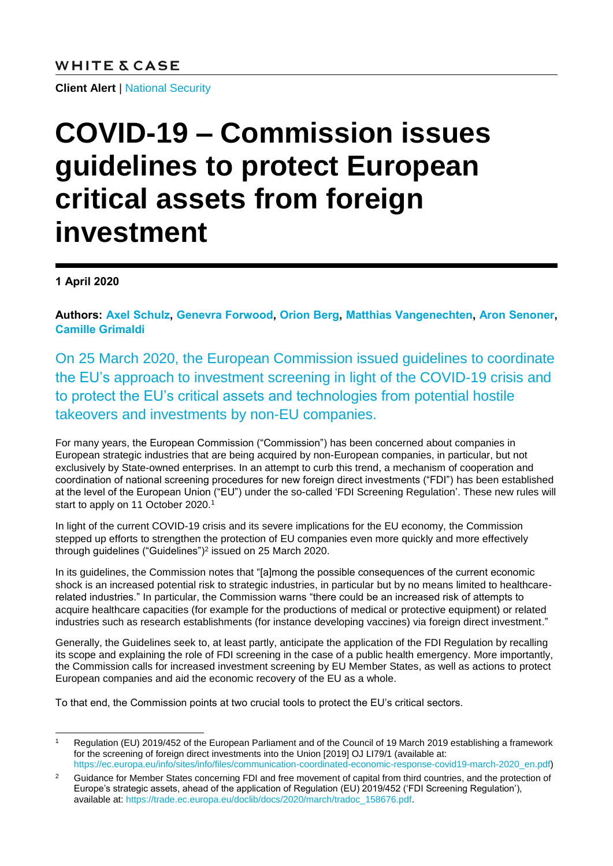**Client Alert** | [National Security](https://www.whitecase.com/law/practices/national-security)

## **COVID-19 – Commission issues guidelines to protect European critical assets from foreign investment**

**1 April 2020**

**Authors: [Axel Schulz,](https://www.whitecase.com/people/axel-schulz?s=Axel%20Schulz) [Genevra Forwood,](https://www.whitecase.com/people/genevra-forwood?s=Genevra%20Forwood) [Orion Berg,](https://www.whitecase.com/people/orion-berg?s=Orion%20Berg) [Matthias Vangenechten,](https://www.whitecase.com/people/matthias-vangenechten?s=Matthias%20Vangenechten) Aron Senoner, Camille Grimaldi**

On 25 March 2020, the European Commission issued guidelines to coordinate the EU's approach to investment screening in light of the COVID-19 crisis and to protect the EU's critical assets and technologies from potential hostile takeovers and investments by non-EU companies.

For many years, the European Commission ("Commission") has been concerned about companies in European strategic industries that are being acquired by non-European companies, in particular, but not exclusively by State-owned enterprises. In an attempt to curb this trend, a mechanism of cooperation and coordination of national screening procedures for new foreign direct investments ("FDI") has been established at the level of the European Union ("EU") under the so-called 'FDI Screening Regulation'. These new rules will start to apply on 11 October 2020.<sup>1</sup>

In light of the current COVID-19 crisis and its severe implications for the EU economy, the Commission stepped up efforts to strengthen the protection of EU companies even more quickly and more effectively through guidelines ("Guidelines")<sup>2</sup> issued on 25 March 2020.

In its guidelines, the Commission notes that "[a]mong the possible consequences of the current economic shock is an increased potential risk to strategic industries, in particular but by no means limited to healthcarerelated industries." In particular, the Commission warns "there could be an increased risk of attempts to acquire healthcare capacities (for example for the productions of medical or protective equipment) or related industries such as research establishments (for instance developing vaccines) via foreign direct investment."

Generally, the Guidelines seek to, at least partly, anticipate the application of the FDI Regulation by recalling its scope and explaining the role of FDI screening in the case of a public health emergency. More importantly, the Commission calls for increased investment screening by EU Member States, as well as actions to protect European companies and aid the economic recovery of the EU as a whole.

To that end, the Commission points at two crucial tools to protect the EU's critical sectors.

l Regulation (EU) 2019/452 of the European Parliament and of the Council of 19 March 2019 establishing a framework for the screening of foreign direct investments into the Union [2019] OJ LI79/1 (available at: [https://ec.europa.eu/info/sites/info/files/communication-coordinated-economic-response-covid19-march-2020\\_en.pdf\)](https://ec.europa.eu/info/sites/info/files/communication-coordinated-economic-response-covid19-march-2020_en.pdf)

<sup>&</sup>lt;sup>2</sup> Guidance for Member States concerning FDI and free movement of capital from third countries, and the protection of Europe's strategic assets, ahead of the application of Regulation (EU) 2019/452 ('FDI Screening Regulation'), available at: [https://trade.ec.europa.eu/doclib/docs/2020/march/tradoc\\_158676.pdf.](https://trade.ec.europa.eu/doclib/docs/2020/march/tradoc_158676.pdf)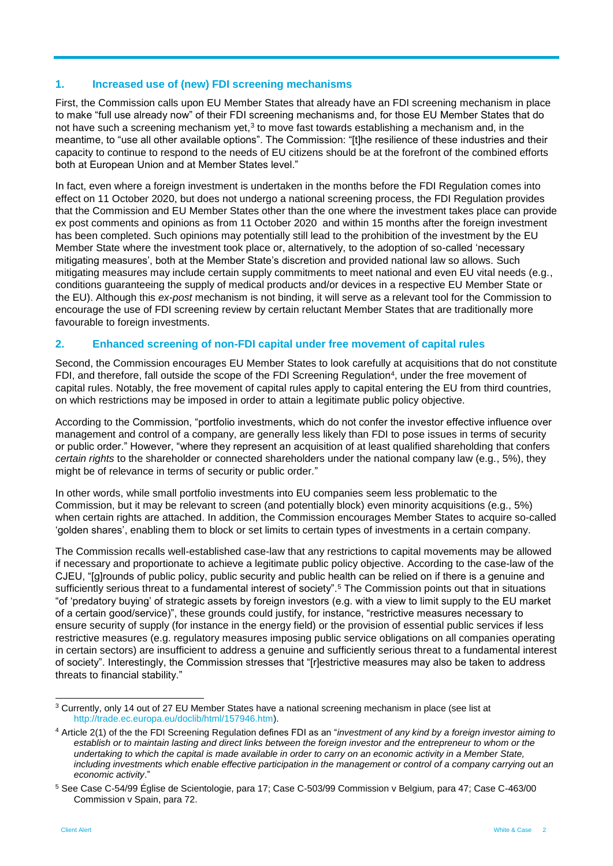## **1. Increased use of (new) FDI screening mechanisms**

First, the Commission calls upon EU Member States that already have an FDI screening mechanism in place to make "full use already now" of their FDI screening mechanisms and, for those EU Member States that do not have such a screening mechanism yet,<sup>3</sup> to move fast towards establishing a mechanism and, in the meantime, to "use all other available options". The Commission: "[t]he resilience of these industries and their capacity to continue to respond to the needs of EU citizens should be at the forefront of the combined efforts both at European Union and at Member States level."

In fact, even where a foreign investment is undertaken in the months before the FDI Regulation comes into effect on 11 October 2020, but does not undergo a national screening process, the FDI Regulation provides that the Commission and EU Member States other than the one where the investment takes place can provide ex post comments and opinions as from 11 October 2020 and within 15 months after the foreign investment has been completed. Such opinions may potentially still lead to the prohibition of the investment by the EU Member State where the investment took place or, alternatively, to the adoption of so-called 'necessary mitigating measures', both at the Member State's discretion and provided national law so allows. Such mitigating measures may include certain supply commitments to meet national and even EU vital needs (e.g., conditions guaranteeing the supply of medical products and/or devices in a respective EU Member State or the EU). Although this *ex-post* mechanism is not binding, it will serve as a relevant tool for the Commission to encourage the use of FDI screening review by certain reluctant Member States that are traditionally more favourable to foreign investments.

## **2. Enhanced screening of non-FDI capital under free movement of capital rules**

Second, the Commission encourages EU Member States to look carefully at acquisitions that do not constitute FDI, and therefore, fall outside the scope of the FDI Screening Regulation<sup>4</sup>, under the free movement of capital rules. Notably, the free movement of capital rules apply to capital entering the EU from third countries, on which restrictions may be imposed in order to attain a legitimate public policy objective.

According to the Commission, "portfolio investments, which do not confer the investor effective influence over management and control of a company, are generally less likely than FDI to pose issues in terms of security or public order." However, "where they represent an acquisition of at least qualified shareholding that confers *certain rights* to the shareholder or connected shareholders under the national company law (e.g., 5%), they might be of relevance in terms of security or public order."

In other words, while small portfolio investments into EU companies seem less problematic to the Commission, but it may be relevant to screen (and potentially block) even minority acquisitions (e.g., 5%) when certain rights are attached. In addition, the Commission encourages Member States to acquire so-called 'golden shares', enabling them to block or set limits to certain types of investments in a certain company.

The Commission recalls well-established case-law that any restrictions to capital movements may be allowed if necessary and proportionate to achieve a legitimate public policy objective. According to the case-law of the CJEU, "[g]rounds of public policy, public security and public health can be relied on if there is a genuine and sufficiently serious threat to a fundamental interest of society".<sup>5</sup> The Commission points out that in situations "of 'predatory buying' of strategic assets by foreign investors (e.g. with a view to limit supply to the EU market of a certain good/service)", these grounds could justify, for instance, "restrictive measures necessary to ensure security of supply (for instance in the energy field) or the provision of essential public services if less restrictive measures (e.g. regulatory measures imposing public service obligations on all companies operating in certain sectors) are insufficient to address a genuine and sufficiently serious threat to a fundamental interest of society". Interestingly, the Commission stresses that "[r]estrictive measures may also be taken to address threats to financial stability."

l <sup>3</sup> Currently, only 14 out of 27 EU Member States have a national screening mechanism in place (see list at [http://trade.ec.europa.eu/doclib/html/157946.htm\)](http://trade.ec.europa.eu/doclib/html/157946.htm).

<sup>4</sup> Article 2(1) of the the FDI Screening Regulation defines FDI as an "*investment of any kind by a foreign investor aiming to*  establish or to maintain lasting and direct links between the foreign investor and the entrepreneur to whom or the *undertaking to which the capital is made available in order to carry on an economic activity in a Member State, including investments which enable effective participation in the management or control of a company carrying out an economic activity*."

<sup>5</sup> See Case C-54/99 Église de Scientologie, para 17; Case C-503/99 Commission v Belgium, para 47; Case C-463/00 Commission v Spain, para 72.